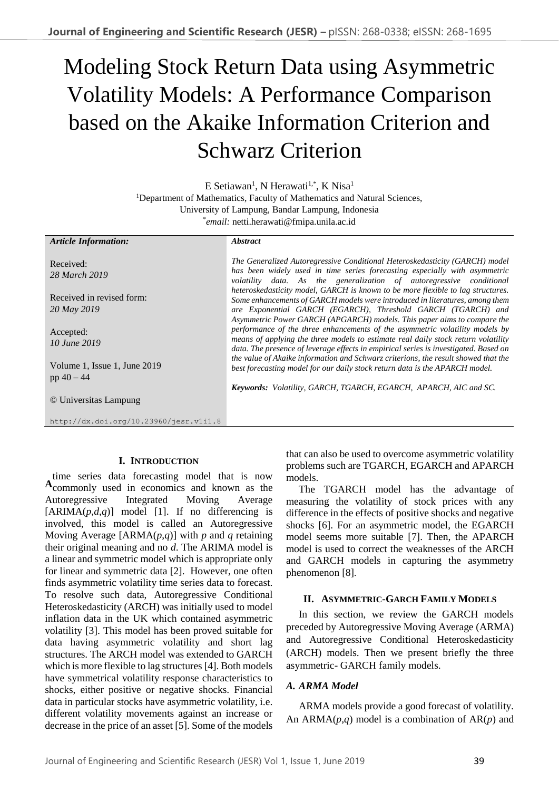# Modeling Stock Return Data using Asymmetric Volatility Models: A Performance Comparison based on the Akaike Information Criterion and Schwarz Criterion

E Setiawan<sup>1</sup>, N Herawati<sup>1,\*</sup>, K Nisa<sup>1</sup> <sup>1</sup>Department of Mathematics, Faculty of Mathematics and Natural Sciences, University of Lampung, Bandar Lampung, Indonesia \* *email:* netti.herawati@fmipa.unila.ac.id

#### *Article Information:* Received: *28 March 2019* Received in revised form: *20 May 2019* Accepted: *10 June 2019* Volume 1, Issue 1, June 2019 pp 40 – 44 © Universitas Lampung http://dx.doi.org/10.23960/jesr.v1i1.8 *Abstract The Generalized Autoregressive Conditional Heteroskedasticity (GARCH) model has been widely used in time series forecasting especially with asymmetric volatility data. As the generalization of autoregressive conditional heteroskedasticity model, GARCH is known to be more flexible to lag structures. Some enhancements of GARCH models were introduced in literatures, among them are Exponential GARCH (EGARCH), Threshold GARCH (TGARCH) and Asymmetric Power GARCH (APGARCH) models. This paper aims to compare the performance of the three enhancements of the asymmetric volatility models by means of applying the three models to estimate real daily stock return volatility data. The presence of leverage effects in empirical series is investigated. Based on the value of Akaike information and Schwarz criterions, the result showed that the best forecasting model for our daily stock return data is the APARCH model. Keywords: Volatility, GARCH, TGARCH, EGARCH, APARCH, AIC and SC.*

# **I. INTRODUCTION**

time series data forecasting model that is now commonly used in economics and known as the **A**Autoregressive Integrated Moving Average  $[ARIMA(p,d,q)]$  model [1]. If no differencing is involved, this model is called an Autoregressive Moving Average [ARMA(*p*,*q*)] with *p* and *q* retaining their original meaning and no *d*. The ARIMA model is a linear and symmetric model which is appropriate only for linear and symmetric data [2]. However, one often finds asymmetric volatility time series data to forecast. To resolve such data, Autoregressive Conditional Heteroskedasticity (ARCH) was initially used to model inflation data in the UK which contained asymmetric volatility [3]. This model has been proved suitable for data having asymmetric volatility and short lag structures. The ARCH model was extended to GARCH which is more flexible to lag structures [4]. Both models have symmetrical volatility response characteristics to shocks, either positive or negative shocks. Financial data in particular stocks have asymmetric volatility, i.e. different volatility movements against an increase or decrease in the price of an asset [5]. Some of the models

that can also be used to overcome asymmetric volatility problems such are TGARCH, EGARCH and APARCH models.

The TGARCH model has the advantage of measuring the volatility of stock prices with any difference in the effects of positive shocks and negative shocks [6]. For an asymmetric model, the EGARCH model seems more suitable [7]. Then, the APARCH model is used to correct the weaknesses of the ARCH and GARCH models in capturing the asymmetry phenomenon [8].

## **II. ASYMMETRIC-GARCH FAMILY MODELS**

In this section, we review the GARCH models preceded by Autoregressive Moving Average (ARMA) and Autoregressive Conditional Heteroskedasticity (ARCH) models. Then we present briefly the three asymmetric- GARCH family models.

## *A. ARMA Model*

ARMA models provide a good forecast of volatility. An ARMA(*p,q*) model is a combination of AR(*p*) and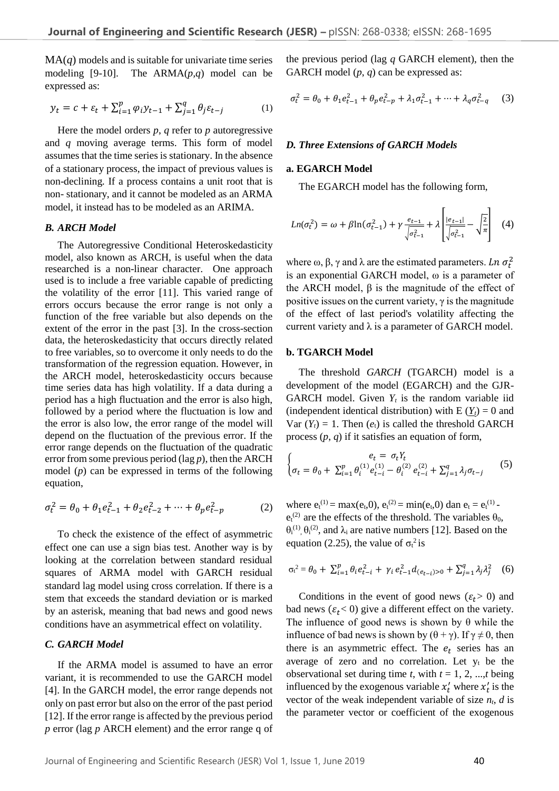$MA(q)$  models and is suitable for univariate time series modeling [9-10]. The ARMA(*p,q*) model can be expressed as:

$$
y_t = c + \varepsilon_t + \sum_{i=1}^p \varphi_i y_{t-1} + \sum_{j=1}^q \theta_j \varepsilon_{t-j}
$$
 (1)

Here the model orders *p*, *q* refer to *p* autoregressive and *q* moving average terms. This form of model assumes that the time series is stationary. In the absence of a stationary process, the impact of previous values is non-declining. If a process contains a unit root that is non- stationary, and it cannot be modeled as an ARMA model, it instead has to be modeled as an ARIMA.

#### *B. ARCH Model*

The Autoregressive Conditional Heteroskedasticity model, also known as ARCH, is useful when the data researched is a non-linear character. One approach used is to include a free variable capable of predicting the volatility of the error [11]. This varied range of errors occurs because the error range is not only a function of the free variable but also depends on the extent of the error in the past [3]. In the cross-section data, the heteroskedasticity that occurs directly related to free variables, so to overcome it only needs to do the transformation of the regression equation. However, in the ARCH model, heteroskedasticity occurs because time series data has high volatility. If a data during a period has a high fluctuation and the error is also high, followed by a period where the fluctuation is low and the error is also low, the error range of the model will depend on the fluctuation of the previous error. If the error range depends on the fluctuation of the quadratic error from some previous period (lag *p*), then the ARCH model (*p*) can be expressed in terms of the following equation,

$$
\sigma_t^2 = \theta_0 + \theta_1 e_{t-1}^2 + \theta_2 e_{t-2}^2 + \dots + \theta_p e_{t-p}^2 \tag{2}
$$

To check the existence of the effect of asymmetric effect one can use a sign bias test. Another way is by looking at the correlation between standard residual squares of ARMA model with GARCH residual standard lag model using cross correlation. If there is a stem that exceeds the standard deviation or is marked by an asterisk, meaning that bad news and good news conditions have an asymmetrical effect on volatility.

# *C. GARCH Model*

If the ARMA model is assumed to have an error variant, it is recommended to use the GARCH model [4]. In the GARCH model, the error range depends not only on past error but also on the error of the past period [12]. If the error range is affected by the previous period *p* error (lag *p* ARCH element) and the error range q of the previous period (lag *q* GARCH element), then the GARCH model (*p*, *q*) can be expressed as:

$$
\sigma_t^2 = \theta_0 + \theta_1 e_{t-1}^2 + \theta_p e_{t-p}^2 + \lambda_1 \sigma_{t-1}^2 + \dots + \lambda_q \sigma_{t-q}^2 \tag{3}
$$

#### *D. Three Extensions of GARCH Models*

#### **a. EGARCH Model**

The EGARCH model has the following form,

$$
Ln(\sigma_t^2) = \omega + \beta ln(\sigma_{t-1}^2) + \gamma \frac{e_{t-1}}{\sqrt{\sigma_{t-1}^2}} + \lambda \left[ \frac{|e_{t-1}|}{\sqrt{\sigma_{t-1}^2}} - \sqrt{\frac{2}{\pi}} \right] \tag{4}
$$

where  $\omega$ ,  $\beta$ ,  $\gamma$  and  $\lambda$  are the estimated parameters. Ln  $\sigma_t^2$ is an exponential GARCH model, ω is a parameter of the ARCH model,  $β$  is the magnitude of the effect of positive issues on the current variety,  $\gamma$  is the magnitude of the effect of last period's volatility affecting the current variety and  $\lambda$  is a parameter of GARCH model.

#### **b. TGARCH Model**

The threshold *GARCH* (TGARCH) model is a development of the model (EGARCH) and the GJR-GARCH model. Given  $Y_t$  is the random variable iid (independent identical distribution) with  $E(Y_t) = 0$  and Var  $(Y_t) = 1$ . Then  $(e_t)$  is called the threshold GARCH process (*p*, *q*) if it satisfies an equation of form,

$$
\begin{cases} e_t = \sigma_t Y_t \\ \sigma_t = \theta_0 + \sum_{i=1}^p \theta_i^{(1)} e_{t-i}^{(1)} - \theta_i^{(2)} e_{t-i}^{(2)} + \sum_{j=1}^q \lambda_j \sigma_{t-j} \end{cases} (5)
$$

where  $e_t^{(1)} = \max(e_t, 0), e_t^{(2)} = \min(e_t, 0)$  dan  $e_t = e_t^{(1)}$  $e_t^{(2)}$  are the effects of the threshold. The variables  $\theta_0$ ,  $\theta_i^{(1)}$ ,  $\theta_i^{(2)}$ , and  $\lambda_i$  are native numbers [12]. Based on the equation (2.25), the value of  $\sigma_t^2$  is

$$
\sigma_t^2 = \theta_0 + \sum_{i=1}^p \theta_i e_{t-i}^2 + \gamma_i e_{t-1}^2 d_{(e_{t-i})>0} + \sum_{j=1}^q \lambda_j \lambda_j^2 \quad (6)
$$

Conditions in the event of good news ( $\varepsilon_t$ > 0) and bad news ( $\varepsilon_t$ < 0) give a different effect on the variety. The influence of good news is shown by  $\theta$  while the influence of bad news is shown by  $(\theta + \gamma)$ . If  $\gamma \neq 0$ , then there is an asymmetric effect. The  $e_t$  series has an average of zero and no correlation. Let  $y_t$  be the observational set during time *t*, with *t* = 1, 2, ...,*t* being influenced by the exogenous variable  $x_t$  where  $x_t$  is the vector of the weak independent variable of size  $n_t$ ,  $d$  is the parameter vector or coefficient of the exogenous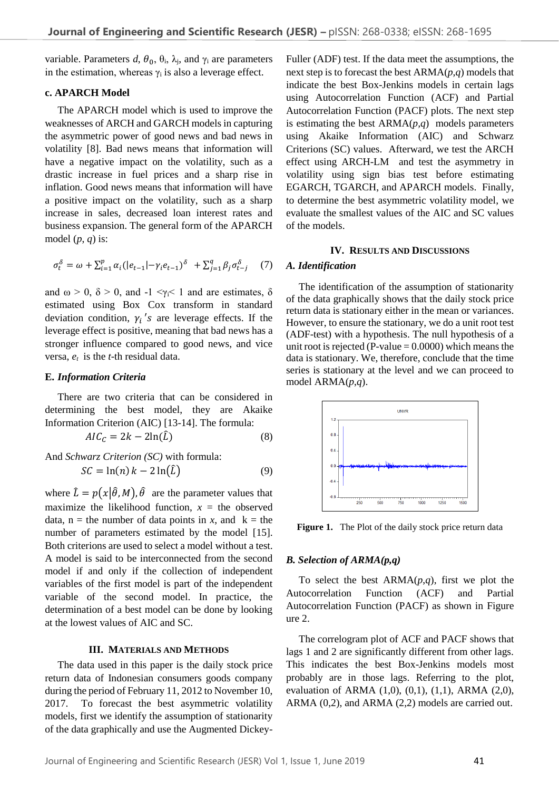variable. Parameters  $d$ ,  $\theta_0$ ,  $\theta_i$ ,  $\lambda_i$ , and  $\gamma_i$  are parameters in the estimation, whereas  $\gamma_i$  is also a leverage effect.

## **c. APARCH Model**

The APARCH model which is used to improve the weaknesses of ARCH and GARCH models in capturing the asymmetric power of good news and bad news in volatility [8]. Bad news means that information will have a negative impact on the volatility, such as a drastic increase in fuel prices and a sharp rise in inflation. Good news means that information will have a positive impact on the volatility, such as a sharp increase in sales, decreased loan interest rates and business expansion. The general form of the APARCH model  $(p, q)$  is:

$$
\sigma_t^{\delta} = \omega + \sum_{i=1}^p \alpha_i (|e_{t-1}| - \gamma_i e_{t-1})^{\delta} + \sum_{j=1}^q \beta_j \sigma_{t-j}^{\delta} \tag{7}
$$

and  $\omega > 0$ ,  $\delta > 0$ , and  $-1 \leq \gamma_i \leq 1$  and are estimates,  $\delta$ estimated using Box Cox transform in standard deviation condition,  $\gamma_i$ 's are leverage effects. If the leverage effect is positive, meaning that bad news has a stronger influence compared to good news, and vice versa, *et* is the *t*-th residual data.

#### **E.** *Information Criteria*

There are two criteria that can be considered in determining the best model, they are Akaike Information Criterion (AIC) [13-14]. The formula:

$$
AIC_{\mathcal{C}} = 2k - 2\ln(\hat{L})\tag{8}
$$

And Schwarz Criterion (SC) with formula:  
\n
$$
SC = \ln(n) k - 2 \ln(\hat{L})
$$
\n(9)

where  $\hat{L} = p(x|\hat{\theta}, M), \hat{\theta}$  are the parameter values that maximize the likelihood function,  $x =$  the observed data,  $n =$  the number of data points in *x*, and  $k =$  the number of parameters estimated by the model [15]. Both criterions are used to select a model without a test. A model is said to be interconnected from the second model if and only if the collection of independent variables of the first model is part of the independent variable of the second model. In practice, the determination of a best model can be done by looking at the lowest values of AIC and SC.

### **III. MATERIALS AND METHODS**

The data used in this paper is the daily stock price return data of Indonesian consumers goods company during the period of February 11, 2012 to November 10, 2017. To forecast the best asymmetric volatility models, first we identify the assumption of stationarity of the data graphically and use the Augmented Dickey-

Fuller (ADF) test. If the data meet the assumptions, the next step is to forecast the best ARMA(*p,q*) models that indicate the best Box-Jenkins models in certain lags using Autocorrelation Function (ACF) and Partial Autocorrelation Function (PACF) plots. The next step is estimating the best ARMA(*p,q*) models parameters using Akaike Information (AIC) and Schwarz Criterions (SC) values. Afterward, we test the ARCH effect using ARCH-LM and test the asymmetry in volatility using sign bias test before estimating EGARCH, TGARCH, and APARCH models. Finally, to determine the best asymmetric volatility model, we evaluate the smallest values of the AIC and SC values of the models.

#### **IV. RESULTS AND DISCUSSIONS**

## *A. Identification*

The identification of the assumption of stationarity of the data graphically shows that the daily stock price return data is stationary either in the mean or variances. However, to ensure the stationary, we do a unit root test (ADF-test) with a hypothesis. The null hypothesis of a unit root is rejected (P-value  $= 0.0000$ ) which means the data is stationary. We, therefore, conclude that the time series is stationary at the level and we can proceed to model ARMA(*p*,*q*).



Figure 1. The Plot of the daily stock price return data

#### *B. Selection of ARMA(p,q)*

To select the best  $ARMA(p,q)$ , first we plot the Autocorrelation Function (ACF) and Partial Autocorrelation Function (PACF) as shown in Figure ure 2.

The correlogram plot of ACF and PACF shows that lags 1 and 2 are significantly different from other lags. This indicates the best Box-Jenkins models most probably are in those lags. Referring to the plot, evaluation of ARMA (1,0), (0,1), (1,1), ARMA (2,0), ARMA (0,2), and ARMA (2,2) models are carried out.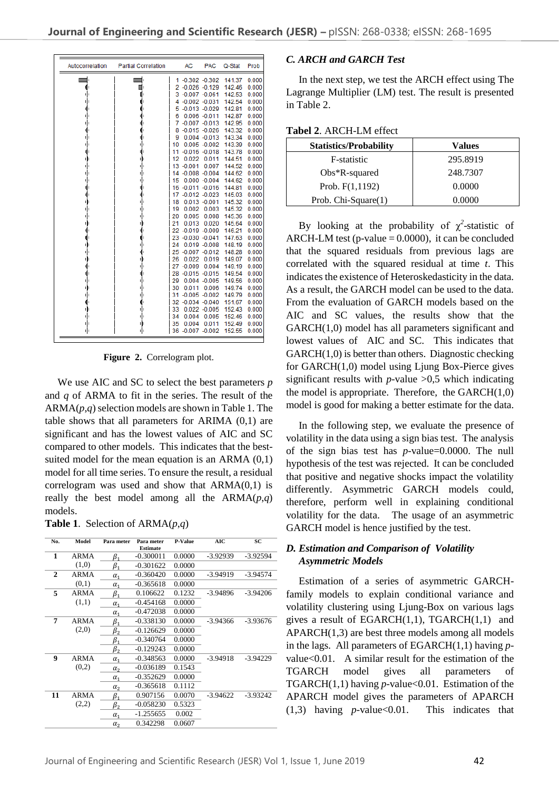| Autocorrelation | <b>Partial Correlation</b> | <b>AC</b><br><b>PAC</b> |                  | Q-Stat | Prob  |
|-----------------|----------------------------|-------------------------|------------------|--------|-------|
|                 |                            | $-0.302 -0.302$<br>1    |                  | 141.37 | 0.000 |
|                 |                            | 2 -0.026 -0.129         |                  | 142.46 | 0.000 |
|                 |                            | 3 -0.007 -0.061         |                  | 142.53 | 0.000 |
|                 |                            | $-0.002 -0.031$<br>4    |                  | 142.54 | 0.000 |
|                 |                            | $5 - 0.013 - 0.029$     |                  | 142.81 | 0.000 |
|                 |                            | 6                       | $0.006 - 0.011$  | 142.87 | 0.000 |
|                 |                            | 7                       | $-0.007 -0.013$  | 142.95 | 0.000 |
|                 |                            | 8                       | $-0.015 - 0.026$ | 143.32 | 0.000 |
|                 |                            | 9                       | $0.004 - 0.013$  | 143.34 | 0.000 |
|                 |                            | 10                      | $0.005 - 0.002$  | 143.39 | 0.000 |
|                 |                            | 11                      | $-0.016 - 0.018$ | 143.78 | 0.000 |
|                 |                            | 12<br>0.022             | 0.011            | 144.51 | 0.000 |
|                 |                            | $-0.001$<br>13          | 0.007            | 144.52 | 0.000 |
|                 |                            | 14 -0.008 -0.004        |                  | 144.62 | 0.000 |
|                 |                            | 15                      | $0.000 - 0.004$  | 144.62 | 0.000 |
|                 |                            | 16 -0.011 -0.016        |                  | 144.81 | 0.000 |
|                 |                            | 17                      | $-0.012 - 0.023$ | 145.03 | 0.000 |
|                 |                            | 18                      | $0.013 - 0.001$  | 145.32 | 0.000 |
|                 |                            | 0.002<br>19             | 0.003            | 145.32 | 0.000 |
|                 |                            | 20<br>0.005             | 0.008            | 145.36 | 0.000 |
|                 |                            | 21<br>0.013             | 0.020            | 145.64 | 0.000 |
|                 |                            | 22 -0.019 -0.009        |                  | 146.21 | 0.000 |
|                 |                            | 23 -0.030 -0.041        |                  | 147.63 | 0.000 |
|                 |                            | 24                      | $0.019 - 0.008$  | 148.19 | 0.000 |
|                 |                            | 25                      | $-0.007 -0.012$  | 148.28 | 0.000 |
|                 |                            | 26<br>0.022             | 0.019            | 149.07 | 0.000 |
|                 |                            | 27<br>$-0.009$          | 0.004            | 149.19 | 0.000 |
|                 |                            | 28                      | $-0.015 - 0.015$ | 149.54 | 0.000 |
|                 |                            | 29                      | $0.004 - 0.005$  | 149.56 | 0.000 |
|                 |                            | 30<br>0.011             | 0.006            | 149.74 | 0.000 |
|                 |                            | $-0.005 - 0.002$<br>31  |                  | 149.79 | 0.000 |
|                 |                            | 32 -0.034 -0.040        |                  | 151.67 | 0.000 |
|                 |                            | 33                      | $0.022 - 0.005$  | 152.43 | 0.000 |
|                 |                            | 34<br>0.004             | 0.005            | 152.46 | 0.000 |
|                 |                            | 0.004<br>35             | 0.011            | 152.49 | 0.000 |
| ψ               | ф                          | 36<br>$-0.007 - 0.002$  |                  | 152.55 | 0.000 |

**Figure 2.** Correlogram plot.

We use AIC and SC to select the best parameters *p* and *q* of ARMA to fit in the series. The result of the  $ARMA(p,q)$  selection models are shown in Table 1. The table shows that all parameters for ARIMA (0,1) are significant and has the lowest values of AIC and SC compared to other models. This indicates that the bestsuited model for the mean equation is an ARMA (0,1) model for all time series. To ensure the result, a residual correlogram was used and show that ARMA(0,1) is really the best model among all the  $ARMA(p,q)$ models.

**Table 1**. Selection of ARMA(*p*,*q*)

| No. | Model       | Para meter            | Para meter<br><b>Estimate</b> | <b>P-Value</b> | <b>AIC</b> | <b>SC</b>  |
|-----|-------------|-----------------------|-------------------------------|----------------|------------|------------|
| 1   | <b>ARMA</b> | β,                    | $-0.300011$                   | 0.0000         | $-3.92939$ | $-3.92594$ |
|     | (1,0)       | ß,                    | $-0.301622$                   | 0.0000         |            |            |
| 2   | <b>ARMA</b> | $\alpha_{1}$          | $-0.360420$                   | 0.0000         | -3.94919   | $-3.94574$ |
|     | (0,1)       | $\alpha_{1}$          | $-0.365618$                   | 0.0000         |            |            |
| 5   | <b>ARMA</b> | $\beta_1$             | 0.106622                      | 0.1232         | -3.94896   | $-3.94206$ |
|     | (1,1)       | $\alpha_{1}$          | $-0.454168$                   | 0.0000         |            |            |
|     |             | $\alpha_{1}$          | $-0.472038$                   | 0.0000         |            |            |
| 7   | <b>ARMA</b> | ß,                    | $-0.338130$                   | 0.0000         | -3.94366   | -3.93676   |
|     | (2,0)       | β,                    | $-0.126629$                   | 0.0000         |            |            |
|     |             | $\beta_1$             | $-0.340764$                   | 0.0000         |            |            |
|     |             | β,                    | $-0.129243$                   | 0.0000         |            |            |
| 9   | ARMA        | $\alpha_{1}$          | $-0.348563$                   | 0.0000         | -3.94918   | -3.94229   |
|     | (0,2)       | $\alpha$ <sub>2</sub> | $-0.036189$                   | 0.1543         |            |            |
|     |             | $\alpha_1$            | $-0.352629$                   | 0.0000         |            |            |
|     |             | $\alpha_{2}$          | $-0.365618$                   | 0.1112         |            |            |
| 11  | <b>ARMA</b> | $\beta_1$             | 0.907156                      | 0.0070         | $-3.94622$ | $-3.93242$ |
|     | (2,2)       | $\beta_{2}$           | $-0.058230$                   | 0.5323         |            |            |
|     |             | $\alpha_{1}$          | -1.255655                     | 0.002          |            |            |
|     |             | $\alpha_{2}$          | 0.342298                      | 0.0607         |            |            |

## *C. ARCH and GARCH Test*

In the next step, we test the ARCH effect using The Lagrange Multiplier (LM) test. The result is presented in Table 2.

| <b>Statistics/Probability</b> | Values   |  |  |
|-------------------------------|----------|--|--|
| F-statistic                   | 295.8919 |  |  |
| $Obs*R$ -squared              | 248.7307 |  |  |
| Prob. $F(1,1192)$             | 0.0000   |  |  |
| Prob. $Chi-Square(1)$         | 0.0000   |  |  |

By looking at the probability of  $\chi^2$ -statistic of ARCH-LM test (p-value  $= 0.0000$ ), it can be concluded that the squared residuals from previous lags are correlated with the squared residual at time *t*. This indicates the existence of Heteroskedasticity in the data. As a result, the GARCH model can be used to the data. From the evaluation of GARCH models based on the AIC and SC values, the results show that the GARCH(1,0) model has all parameters significant and lowest values of AIC and SC. This indicates that GARCH(1,0) is better than others. Diagnostic checking for GARCH(1,0) model using Ljung Box-Pierce gives significant results with  $p$ -value  $>0.5$  which indicating the model is appropriate. Therefore, the  $GARCH(1,0)$ model is good for making a better estimate for the data.

In the following step, we evaluate the presence of volatility in the data using a sign bias test. The analysis of the sign bias test has *p*-value=0.0000. The null hypothesis of the test was rejected. It can be concluded that positive and negative shocks impact the volatility differently. Asymmetric GARCH models could, therefore, perform well in explaining conditional volatility for the data. The usage of an asymmetric GARCH model is hence justified by the test.

# *D. Estimation and Comparison of Volatility Asymmetric Models*

Estimation of a series of asymmetric GARCHfamily models to explain conditional variance and volatility clustering using Ljung-Box on various lags gives a result of EGARCH(1,1), TGARCH(1,1) and APARCH(1,3) are best three models among all models in the lags. All parameters of EGARCH(1,1) having *p*value<0.01. A similar result for the estimation of the TGARCH model gives all parameters of TGARCH $(1,1)$  having *p*-value $< 0.01$ . Estimation of the APARCH model gives the parameters of APARCH (1,3) having *p*-value<0.01. This indicates that